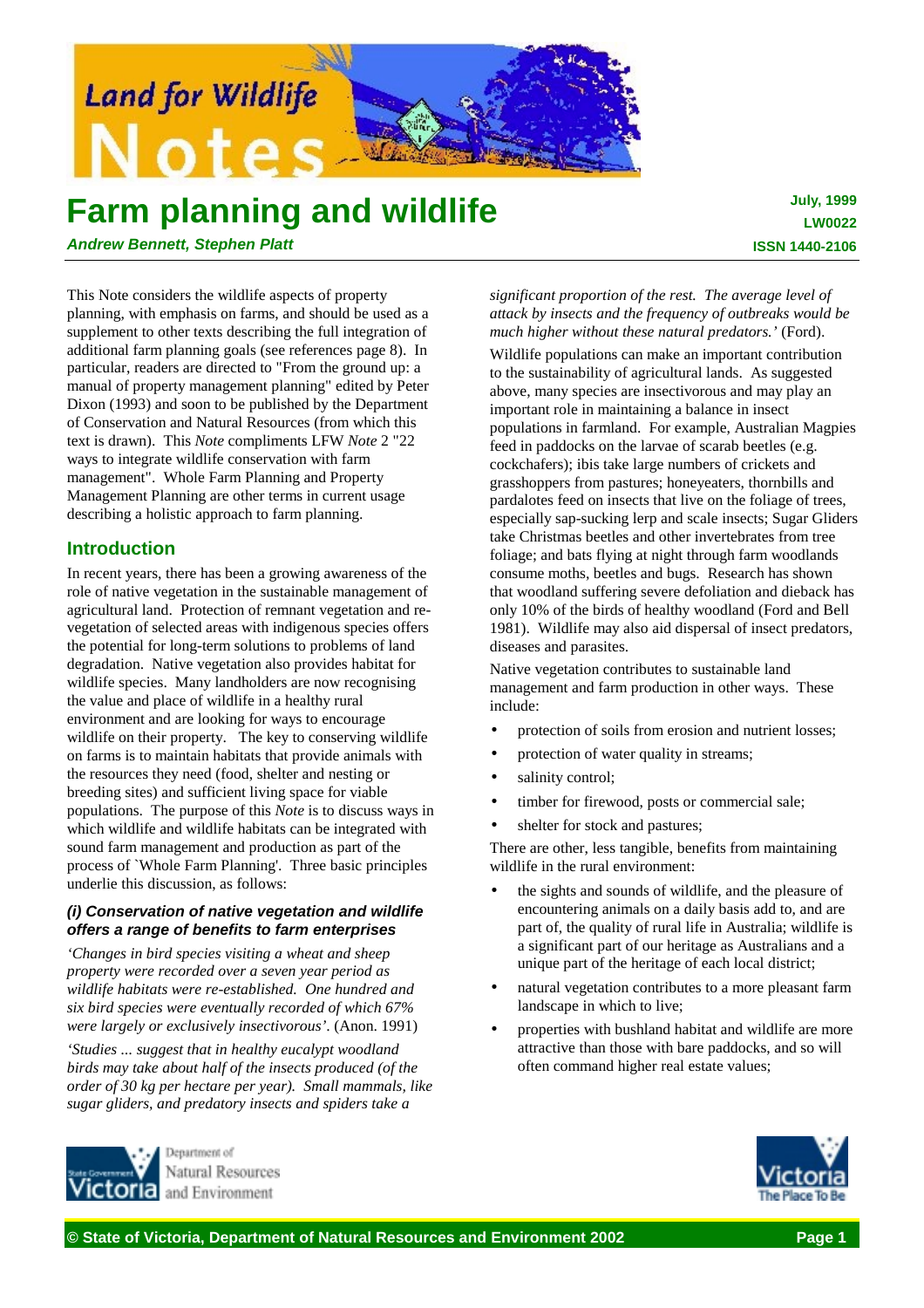

# **Farm planning and wildlife**

*Andrew Bennett, Stephen Platt*

This Note considers the wildlife aspects of property planning, with emphasis on farms, and should be used as a supplement to other texts describing the full integration of additional farm planning goals (see references page 8). In particular, readers are directed to "From the ground up: a manual of property management planning" edited by Peter Dixon (1993) and soon to be published by the Department of Conservation and Natural Resources (from which this text is drawn). This *Note* compliments LFW *Note* 2 "22 ways to integrate wildlife conservation with farm management". Whole Farm Planning and Property Management Planning are other terms in current usage describing a holistic approach to farm planning.

# **Introduction**

In recent years, there has been a growing awareness of the role of native vegetation in the sustainable management of agricultural land. Protection of remnant vegetation and revegetation of selected areas with indigenous species offers the potential for long-term solutions to problems of land degradation. Native vegetation also provides habitat for wildlife species. Many landholders are now recognising the value and place of wildlife in a healthy rural environment and are looking for ways to encourage wildlife on their property. The key to conserving wildlife on farms is to maintain habitats that provide animals with the resources they need (food, shelter and nesting or breeding sites) and sufficient living space for viable populations. The purpose of this *Note* is to discuss ways in which wildlife and wildlife habitats can be integrated with sound farm management and production as part of the process of `Whole Farm Planning'. Three basic principles underlie this discussion, as follows:

# *(i) Conservation of native vegetation and wildlife offers a range of benefits to farm enterprises*

*'Changes in bird species visiting a wheat and sheep property were recorded over a seven year period as wildlife habitats were re-established. One hundred and six bird species were eventually recorded of which 67% were largely or exclusively insectivorous'*. (Anon. 1991) *'Studies ... suggest that in healthy eucalypt woodland birds may take about half of the insects produced (of the order of 30 kg per hectare per year). Small mammals, like sugar gliders, and predatory insects and spiders take a*

# *significant proportion of the rest. The average level of attack by insects and the frequency of outbreaks would be much higher without these natural predators.'* (Ford).

Wildlife populations can make an important contribution to the sustainability of agricultural lands. As suggested above, many species are insectivorous and may play an important role in maintaining a balance in insect populations in farmland. For example, Australian Magpies feed in paddocks on the larvae of scarab beetles (e.g. cockchafers); ibis take large numbers of crickets and grasshoppers from pastures; honeyeaters, thornbills and pardalotes feed on insects that live on the foliage of trees, especially sap-sucking lerp and scale insects; Sugar Gliders take Christmas beetles and other invertebrates from tree foliage; and bats flying at night through farm woodlands consume moths, beetles and bugs. Research has shown that woodland suffering severe defoliation and dieback has only 10% of the birds of healthy woodland (Ford and Bell 1981). Wildlife may also aid dispersal of insect predators, diseases and parasites.

Native vegetation contributes to sustainable land management and farm production in other ways. These include:

- protection of soils from erosion and nutrient losses;
- protection of water quality in streams;
- salinity control;
- timber for firewood, posts or commercial sale;
- shelter for stock and pastures;

There are other, less tangible, benefits from maintaining wildlife in the rural environment:

- the sights and sounds of wildlife, and the pleasure of encountering animals on a daily basis add to, and are part of, the quality of rural life in Australia; wildlife is a significant part of our heritage as Australians and a unique part of the heritage of each local district;
- natural vegetation contributes to a more pleasant farm landscape in which to live;
- properties with bushland habitat and wildlife are more attractive than those with bare paddocks, and so will often command higher real estate values;



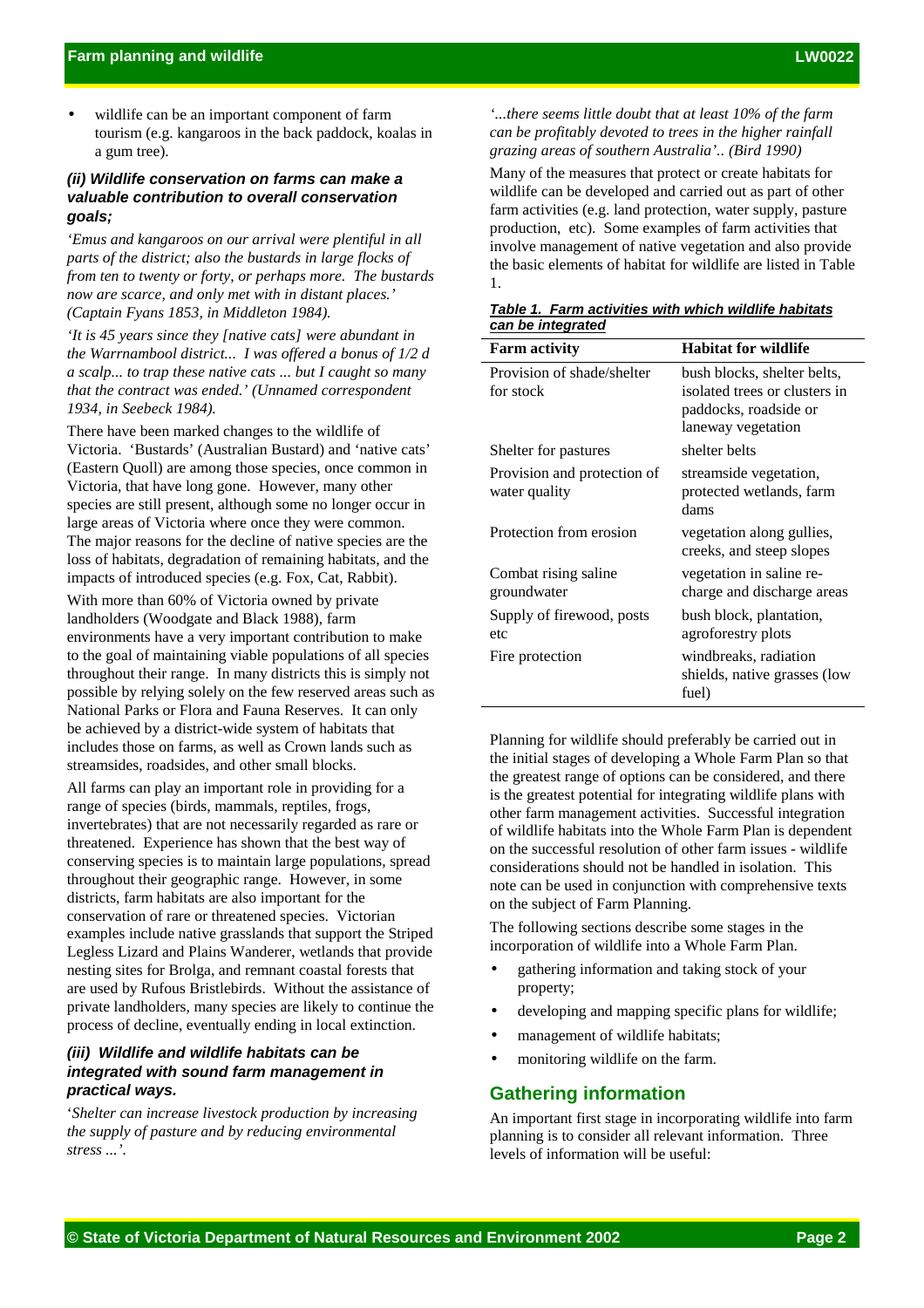wildlife can be an important component of farm tourism (e.g. kangaroos in the back paddock, koalas in a gum tree).

# *(ii) Wildlife conservation on farms can make a valuable contribution to overall conservation goals;*

*'Emus and kangaroos on our arrival were plentiful in all parts of the district; also the bustards in large flocks of from ten to twenty or forty, or perhaps more. The bustards now are scarce, and only met with in distant places.' (Captain Fyans 1853, in Middleton 1984).*

*'It is 45 years since they [native cats] were abundant in the Warrnambool district... I was offered a bonus of 1/2 d a scalp... to trap these native cats ... but I caught so many that the contract was ended.' (Unnamed correspondent 1934, in Seebeck 1984).*

There have been marked changes to the wildlife of Victoria. 'Bustards' (Australian Bustard) and 'native cats' (Eastern Quoll) are among those species, once common in Victoria, that have long gone. However, many other species are still present, although some no longer occur in large areas of Victoria where once they were common. The major reasons for the decline of native species are the loss of habitats, degradation of remaining habitats, and the impacts of introduced species (e.g. Fox, Cat, Rabbit).

With more than 60% of Victoria owned by private landholders (Woodgate and Black 1988), farm environments have a very important contribution to make to the goal of maintaining viable populations of all species throughout their range. In many districts this is simply not possible by relying solely on the few reserved areas such as National Parks or Flora and Fauna Reserves. It can only be achieved by a district-wide system of habitats that includes those on farms, as well as Crown lands such as streamsides, roadsides, and other small blocks.

All farms can play an important role in providing for a range of species (birds, mammals, reptiles, frogs, invertebrates) that are not necessarily regarded as rare or threatened. Experience has shown that the best way of conserving species is to maintain large populations, spread throughout their geographic range. However, in some districts, farm habitats are also important for the conservation of rare or threatened species. Victorian examples include native grasslands that support the Striped Legless Lizard and Plains Wanderer, wetlands that provide nesting sites for Brolga, and remnant coastal forests that are used by Rufous Bristlebirds. Without the assistance of private landholders, many species are likely to continue the process of decline, eventually ending in local extinction.

# *(iii) Wildlife and wildlife habitats can be integrated with sound farm management in practical ways.*

'*Shelter can increase livestock production by increasing the supply of pasture and by reducing environmental stress ...'.*

*'...there seems little doubt that at least 10% of the farm can be profitably devoted to trees in the higher rainfall grazing areas of southern Australia'.. (Bird 1990)*

Many of the measures that protect or create habitats for wildlife can be developed and carried out as part of other farm activities (e.g. land protection, water supply, pasture production, etc). Some examples of farm activities that involve management of native vegetation and also provide the basic elements of habitat for wildlife are listed in Table 1.

| Table 1. Farm activities with which wildlife habitats |  |  |
|-------------------------------------------------------|--|--|
| can be integrated                                     |  |  |

| <b>Farm activity</b>                         | <b>Habitat for wildlife</b>                                                                                 |  |  |
|----------------------------------------------|-------------------------------------------------------------------------------------------------------------|--|--|
| Provision of shade/shelter<br>for stock      | bush blocks, shelter belts,<br>isolated trees or clusters in<br>paddocks, roadside or<br>laneway vegetation |  |  |
| Shelter for pastures                         | shelter belts                                                                                               |  |  |
| Provision and protection of<br>water quality | streamside vegetation,<br>protected wetlands, farm<br>dams                                                  |  |  |
| Protection from erosion                      | vegetation along gullies,<br>creeks, and steep slopes                                                       |  |  |
| Combat rising saline<br>groundwater          | vegetation in saline re-<br>charge and discharge areas                                                      |  |  |
| Supply of firewood, posts<br>etc             | bush block, plantation,<br>agroforestry plots                                                               |  |  |
| Fire protection                              | windbreaks, radiation<br>shields, native grasses (low<br>fuel)                                              |  |  |

Planning for wildlife should preferably be carried out in the initial stages of developing a Whole Farm Plan so that the greatest range of options can be considered, and there is the greatest potential for integrating wildlife plans with other farm management activities. Successful integration of wildlife habitats into the Whole Farm Plan is dependent on the successful resolution of other farm issues - wildlife considerations should not be handled in isolation. This note can be used in conjunction with comprehensive texts on the subject of Farm Planning.

The following sections describe some stages in the incorporation of wildlife into a Whole Farm Plan.

- gathering information and taking stock of your property;
- developing and mapping specific plans for wildlife;
- management of wildlife habitats;
- monitoring wildlife on the farm.

# **Gathering information**

An important first stage in incorporating wildlife into farm planning is to consider all relevant information. Three levels of information will be useful: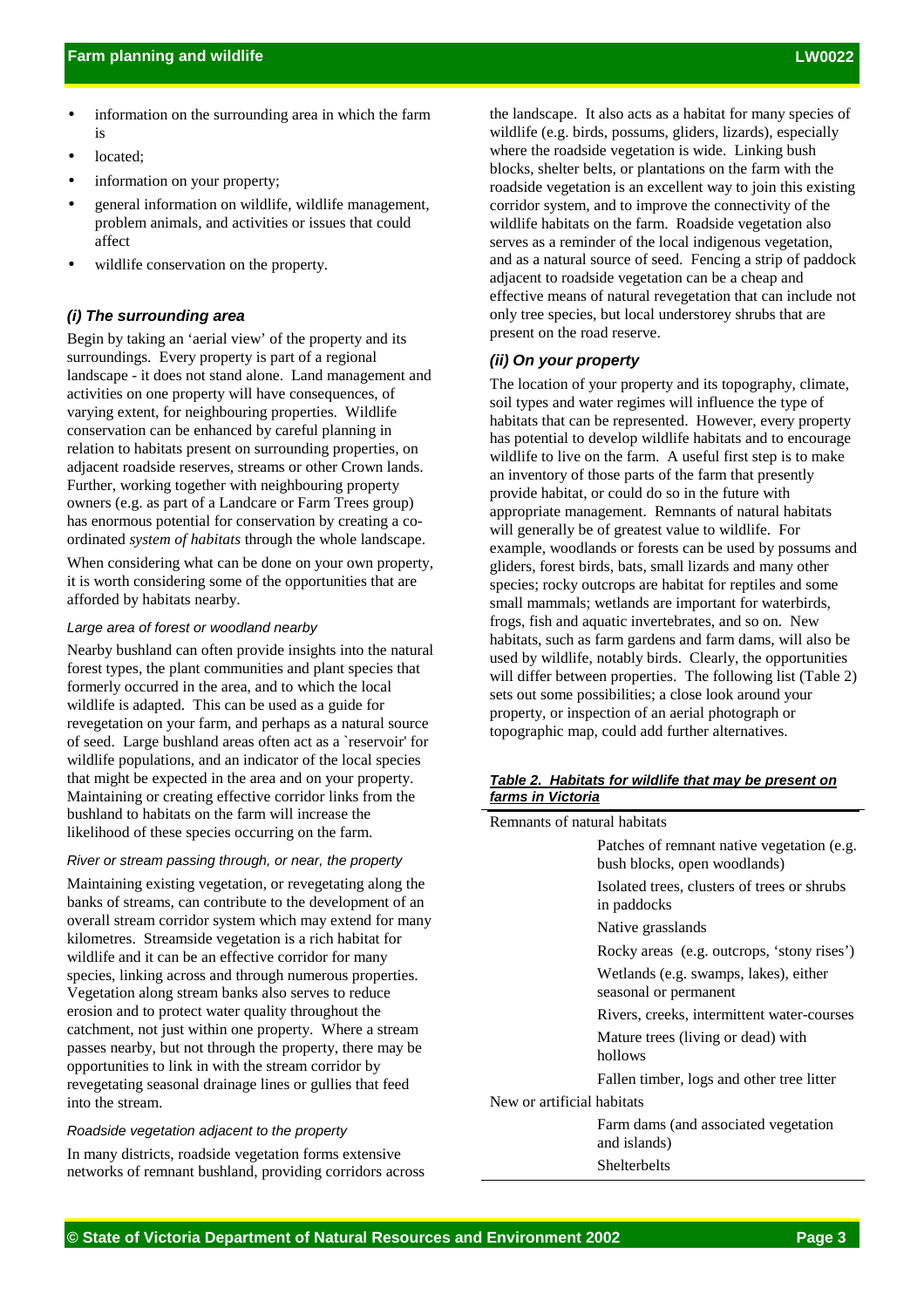- information on the surrounding area in which the farm is
- located;
- information on your property;
- general information on wildlife, wildlife management, problem animals, and activities or issues that could affect
- wildlife conservation on the property.

# *(i) The surrounding area*

Begin by taking an 'aerial view' of the property and its surroundings. Every property is part of a regional landscape - it does not stand alone. Land management and activities on one property will have consequences, of varying extent, for neighbouring properties. Wildlife conservation can be enhanced by careful planning in relation to habitats present on surrounding properties, on adjacent roadside reserves, streams or other Crown lands. Further, working together with neighbouring property owners (e.g. as part of a Landcare or Farm Trees group) has enormous potential for conservation by creating a coordinated *system of habitats* through the whole landscape.

When considering what can be done on your own property, it is worth considering some of the opportunities that are afforded by habitats nearby.

#### *Large area of forest or woodland nearby*

Nearby bushland can often provide insights into the natural forest types, the plant communities and plant species that formerly occurred in the area, and to which the local wildlife is adapted. This can be used as a guide for revegetation on your farm, and perhaps as a natural source of seed. Large bushland areas often act as a `reservoir' for wildlife populations, and an indicator of the local species that might be expected in the area and on your property. Maintaining or creating effective corridor links from the bushland to habitats on the farm will increase the likelihood of these species occurring on the farm.

#### *River or stream passing through, or near, the property*

Maintaining existing vegetation, or revegetating along the banks of streams, can contribute to the development of an overall stream corridor system which may extend for many kilometres. Streamside vegetation is a rich habitat for wildlife and it can be an effective corridor for many species, linking across and through numerous properties. Vegetation along stream banks also serves to reduce erosion and to protect water quality throughout the catchment, not just within one property. Where a stream passes nearby, but not through the property, there may be opportunities to link in with the stream corridor by revegetating seasonal drainage lines or gullies that feed into the stream.

#### *Roadside vegetation adjacent to the property*

In many districts, roadside vegetation forms extensive networks of remnant bushland, providing corridors across the landscape. It also acts as a habitat for many species of wildlife (e.g. birds, possums, gliders, lizards), especially where the roadside vegetation is wide. Linking bush blocks, shelter belts, or plantations on the farm with the roadside vegetation is an excellent way to join this existing corridor system, and to improve the connectivity of the wildlife habitats on the farm. Roadside vegetation also serves as a reminder of the local indigenous vegetation, and as a natural source of seed. Fencing a strip of paddock adjacent to roadside vegetation can be a cheap and effective means of natural revegetation that can include not only tree species, but local understorey shrubs that are present on the road reserve.

## *(ii) On your property*

The location of your property and its topography, climate, soil types and water regimes will influence the type of habitats that can be represented. However, every property has potential to develop wildlife habitats and to encourage wildlife to live on the farm. A useful first step is to make an inventory of those parts of the farm that presently provide habitat, or could do so in the future with appropriate management. Remnants of natural habitats will generally be of greatest value to wildlife. For example, woodlands or forests can be used by possums and gliders, forest birds, bats, small lizards and many other species; rocky outcrops are habitat for reptiles and some small mammals; wetlands are important for waterbirds, frogs, fish and aquatic invertebrates, and so on. New habitats, such as farm gardens and farm dams, will also be used by wildlife, notably birds. Clearly, the opportunities will differ between properties. The following list (Table 2) sets out some possibilities; a close look around your property, or inspection of an aerial photograph or topographic map, could add further alternatives.

## *Table 2. Habitats for wildlife that may be present on farms in Victoria*

| Remnants of natural habitats |                                                                            |
|------------------------------|----------------------------------------------------------------------------|
|                              | Patches of remnant native vegetation (e.g.<br>bush blocks, open woodlands) |
|                              | Isolated trees, clusters of trees or shrubs<br>in paddocks                 |
|                              | Native grasslands                                                          |
|                              | Rocky areas (e.g. outcrops, 'stony rises')                                 |
|                              | Wetlands (e.g. swamps, lakes), either<br>seasonal or permanent             |
|                              | Rivers, creeks, intermittent water-courses                                 |
|                              | Mature trees (living or dead) with<br>hollows                              |
|                              | Fallen timber, logs and other tree litter                                  |
| New or artificial habitats   |                                                                            |
|                              | Farm dams (and associated vegetation<br>and islands)                       |
|                              | <b>Shelterbelts</b>                                                        |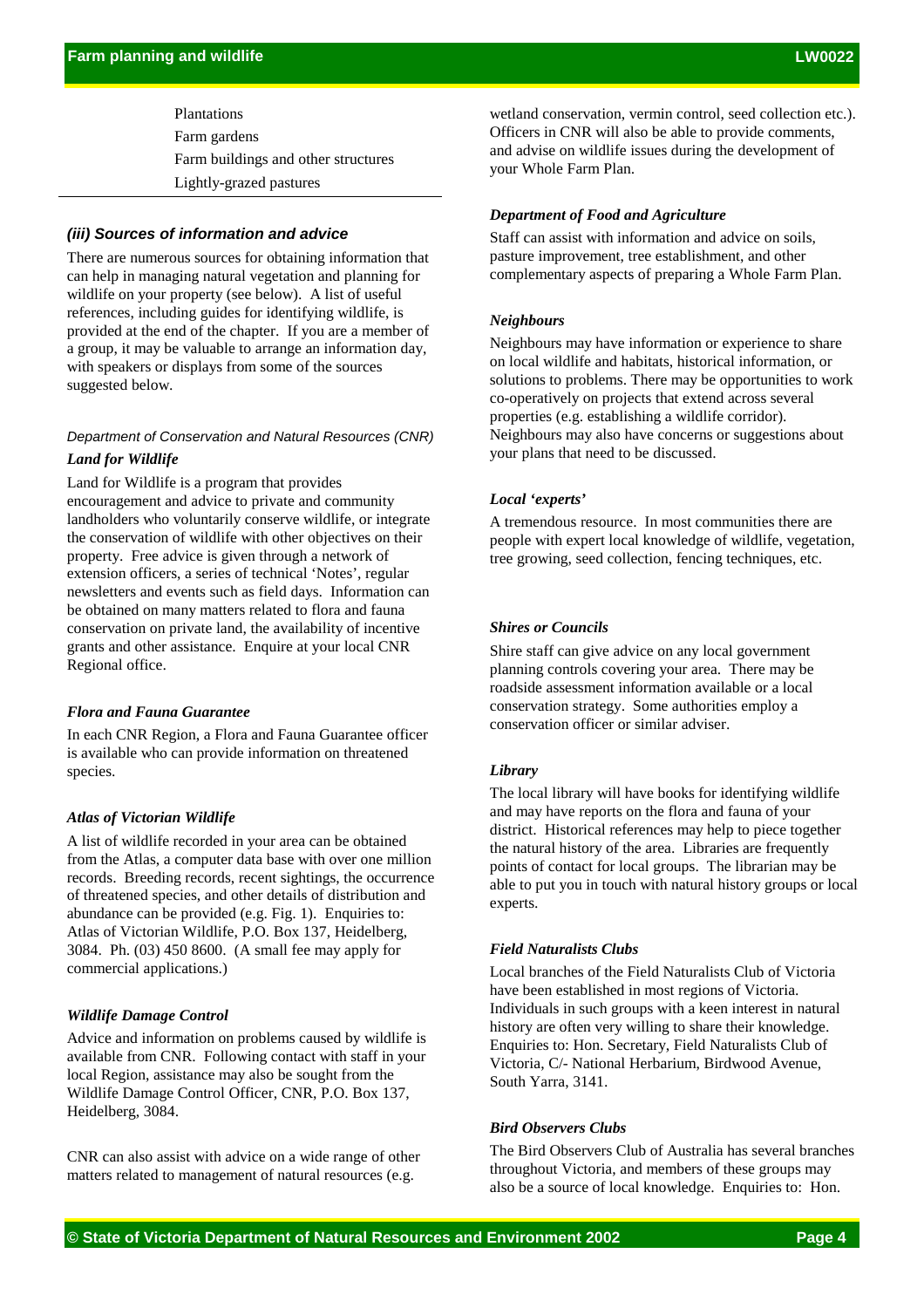Plantations Farm gardens Farm buildings and other structures Lightly-grazed pastures

# *(iii) Sources of information and advice*

There are numerous sources for obtaining information that can help in managing natural vegetation and planning for wildlife on your property (see below). A list of useful references, including guides for identifying wildlife, is provided at the end of the chapter. If you are a member of a group, it may be valuable to arrange an information day, with speakers or displays from some of the sources suggested below.

# *Department of Conservation and Natural Resources (CNR)*

# *Land for Wildlife*

Land for Wildlife is a program that provides encouragement and advice to private and community landholders who voluntarily conserve wildlife, or integrate the conservation of wildlife with other objectives on their property. Free advice is given through a network of extension officers, a series of technical 'Notes', regular newsletters and events such as field days. Information can be obtained on many matters related to flora and fauna conservation on private land, the availability of incentive grants and other assistance. Enquire at your local CNR Regional office.

## *Flora and Fauna Guarantee*

In each CNR Region, a Flora and Fauna Guarantee officer is available who can provide information on threatened species.

# *Atlas of Victorian Wildlife*

A list of wildlife recorded in your area can be obtained from the Atlas, a computer data base with over one million records. Breeding records, recent sightings, the occurrence of threatened species, and other details of distribution and abundance can be provided (e.g. Fig. 1). Enquiries to: Atlas of Victorian Wildlife, P.O. Box 137, Heidelberg, 3084. Ph. (03) 450 8600. (A small fee may apply for commercial applications.)

#### *Wildlife Damage Control*

Advice and information on problems caused by wildlife is available from CNR. Following contact with staff in your local Region, assistance may also be sought from the Wildlife Damage Control Officer, CNR, P.O. Box 137, Heidelberg, 3084.

CNR can also assist with advice on a wide range of other matters related to management of natural resources (e.g.

wetland conservation, vermin control, seed collection etc.). Officers in CNR will also be able to provide comments, and advise on wildlife issues during the development of your Whole Farm Plan.

#### *Department of Food and Agriculture*

Staff can assist with information and advice on soils, pasture improvement, tree establishment, and other complementary aspects of preparing a Whole Farm Plan.

#### *Neighbours*

Neighbours may have information or experience to share on local wildlife and habitats, historical information, or solutions to problems. There may be opportunities to work co-operatively on projects that extend across several properties (e.g. establishing a wildlife corridor). Neighbours may also have concerns or suggestions about your plans that need to be discussed.

#### *Local 'experts'*

A tremendous resource. In most communities there are people with expert local knowledge of wildlife, vegetation, tree growing, seed collection, fencing techniques, etc.

#### *Shires or Councils*

Shire staff can give advice on any local government planning controls covering your area. There may be roadside assessment information available or a local conservation strategy. Some authorities employ a conservation officer or similar adviser.

#### *Library*

The local library will have books for identifying wildlife and may have reports on the flora and fauna of your district. Historical references may help to piece together the natural history of the area. Libraries are frequently points of contact for local groups. The librarian may be able to put you in touch with natural history groups or local experts.

#### *Field Naturalists Clubs*

Local branches of the Field Naturalists Club of Victoria have been established in most regions of Victoria. Individuals in such groups with a keen interest in natural history are often very willing to share their knowledge. Enquiries to: Hon. Secretary, Field Naturalists Club of Victoria, C/- National Herbarium, Birdwood Avenue, South Yarra, 3141.

#### *Bird Observers Clubs*

The Bird Observers Club of Australia has several branches throughout Victoria, and members of these groups may also be a source of local knowledge. Enquiries to: Hon.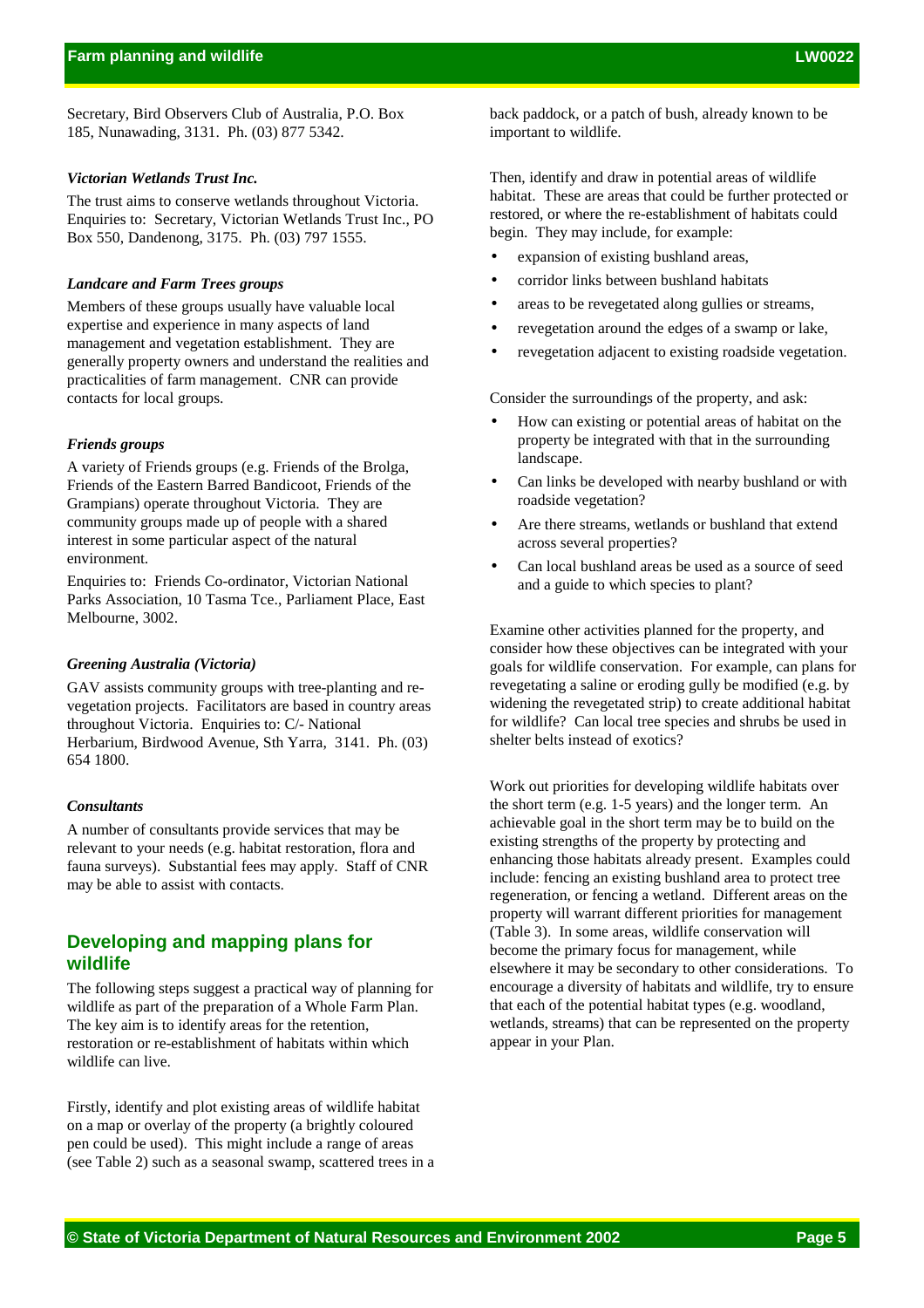Secretary, Bird Observers Club of Australia, P.O. Box 185, Nunawading, 3131. Ph. (03) 877 5342.

#### *Victorian Wetlands Trust Inc.*

The trust aims to conserve wetlands throughout Victoria. Enquiries to: Secretary, Victorian Wetlands Trust Inc., PO Box 550, Dandenong, 3175. Ph. (03) 797 1555.

#### *Landcare and Farm Trees groups*

Members of these groups usually have valuable local expertise and experience in many aspects of land management and vegetation establishment. They are generally property owners and understand the realities and practicalities of farm management. CNR can provide contacts for local groups.

#### *Friends groups*

A variety of Friends groups (e.g. Friends of the Brolga, Friends of the Eastern Barred Bandicoot, Friends of the Grampians) operate throughout Victoria. They are community groups made up of people with a shared interest in some particular aspect of the natural environment.

Enquiries to: Friends Co-ordinator, Victorian National Parks Association, 10 Tasma Tce., Parliament Place, East Melbourne, 3002.

#### *Greening Australia (Victoria)*

GAV assists community groups with tree-planting and revegetation projects. Facilitators are based in country areas throughout Victoria. Enquiries to: C/- National Herbarium, Birdwood Avenue, Sth Yarra, 3141. Ph. (03) 654 1800.

# *Consultants*

A number of consultants provide services that may be relevant to your needs (e.g. habitat restoration, flora and fauna surveys). Substantial fees may apply. Staff of CNR may be able to assist with contacts.

# **Developing and mapping plans for wildlife**

The following steps suggest a practical way of planning for wildlife as part of the preparation of a Whole Farm Plan. The key aim is to identify areas for the retention, restoration or re-establishment of habitats within which wildlife can live.

Firstly, identify and plot existing areas of wildlife habitat on a map or overlay of the property (a brightly coloured pen could be used). This might include a range of areas (see Table 2) such as a seasonal swamp, scattered trees in a back paddock, or a patch of bush, already known to be important to wildlife.

Then, identify and draw in potential areas of wildlife habitat. These are areas that could be further protected or restored, or where the re-establishment of habitats could begin. They may include, for example:

- expansion of existing bushland areas,
- corridor links between bushland habitats
- areas to be revegetated along gullies or streams,
- revegetation around the edges of a swamp or lake,
- revegetation adjacent to existing roadside vegetation.

Consider the surroundings of the property, and ask:

- How can existing or potential areas of habitat on the property be integrated with that in the surrounding landscape.
- Can links be developed with nearby bushland or with roadside vegetation?
- Are there streams, wetlands or bushland that extend across several properties?
- Can local bushland areas be used as a source of seed and a guide to which species to plant?

Examine other activities planned for the property, and consider how these objectives can be integrated with your goals for wildlife conservation. For example, can plans for revegetating a saline or eroding gully be modified (e.g. by widening the revegetated strip) to create additional habitat for wildlife? Can local tree species and shrubs be used in shelter belts instead of exotics?

Work out priorities for developing wildlife habitats over the short term (e.g. 1-5 years) and the longer term. An achievable goal in the short term may be to build on the existing strengths of the property by protecting and enhancing those habitats already present. Examples could include: fencing an existing bushland area to protect tree regeneration, or fencing a wetland. Different areas on the property will warrant different priorities for management (Table 3). In some areas, wildlife conservation will become the primary focus for management, while elsewhere it may be secondary to other considerations. To encourage a diversity of habitats and wildlife, try to ensure that each of the potential habitat types (e.g. woodland, wetlands, streams) that can be represented on the property appear in your Plan.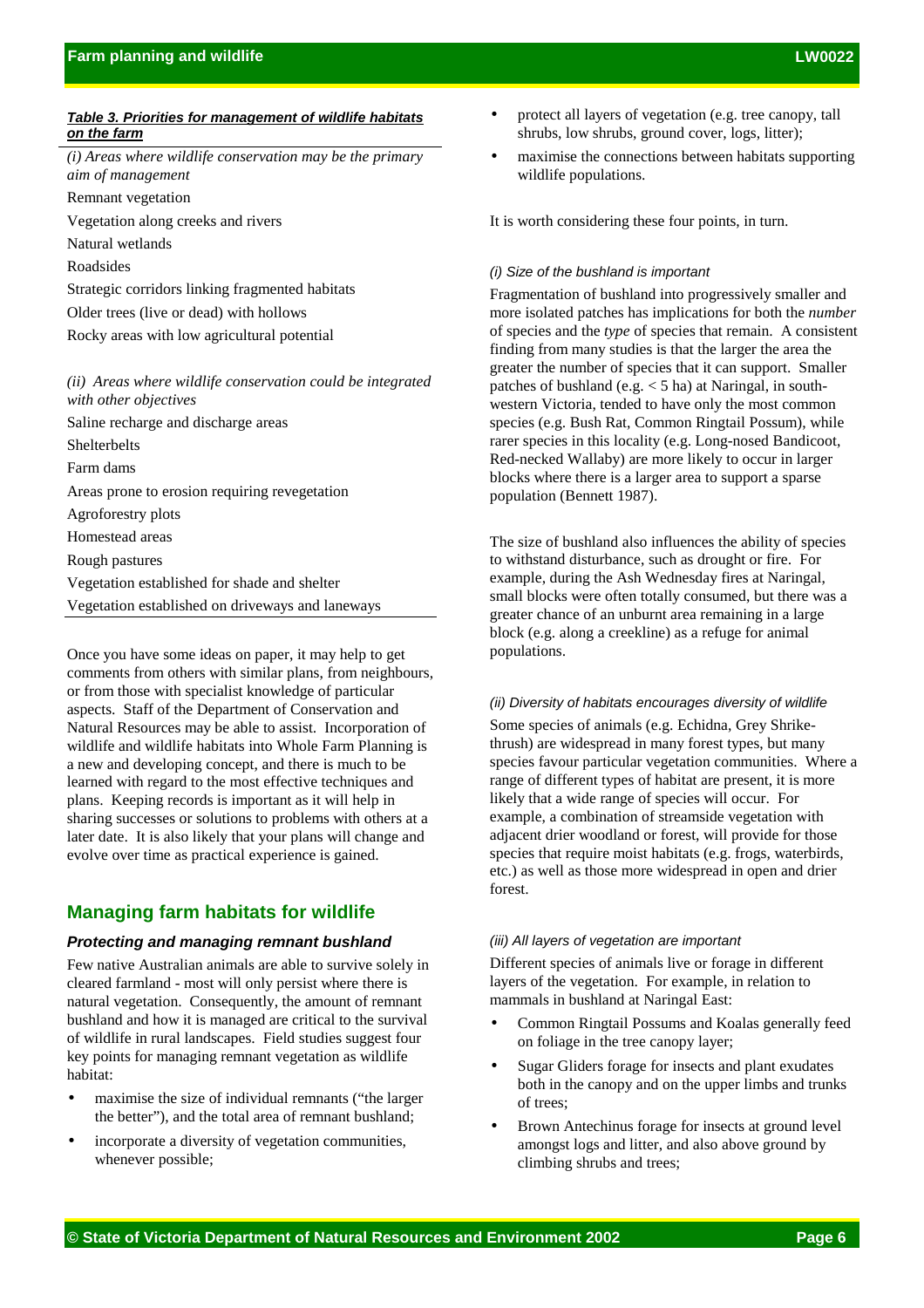#### *Table 3. Priorities for management of wildlife habitats on the farm*

- *(i) Areas where wildlife conservation may be the primary aim of management* Remnant vegetation
- Vegetation along creeks and rivers
- Natural wetlands
- Roadsides
- Strategic corridors linking fragmented habitats
- Older trees (live or dead) with hollows
- Rocky areas with low agricultural potential

# *(ii) Areas where wildlife conservation could be integrated with other objectives*

Saline recharge and discharge areas Shelterbelts Farm dams Areas prone to erosion requiring revegetation Agroforestry plots Homestead areas Rough pastures Vegetation established for shade and shelter Vegetation established on driveways and laneways

Once you have some ideas on paper, it may help to get comments from others with similar plans, from neighbours, or from those with specialist knowledge of particular aspects. Staff of the Department of Conservation and Natural Resources may be able to assist. Incorporation of wildlife and wildlife habitats into Whole Farm Planning is a new and developing concept, and there is much to be learned with regard to the most effective techniques and plans. Keeping records is important as it will help in sharing successes or solutions to problems with others at a later date. It is also likely that your plans will change and evolve over time as practical experience is gained.

# **Managing farm habitats for wildlife**

## *Protecting and managing remnant bushland*

Few native Australian animals are able to survive solely in cleared farmland - most will only persist where there is natural vegetation. Consequently, the amount of remnant bushland and how it is managed are critical to the survival of wildlife in rural landscapes. Field studies suggest four key points for managing remnant vegetation as wildlife habitat:

- maximise the size of individual remnants ("the larger" the better"), and the total area of remnant bushland;
- incorporate a diversity of vegetation communities, whenever possible;
- protect all layers of vegetation (e.g. tree canopy, tall shrubs, low shrubs, ground cover, logs, litter);
- maximise the connections between habitats supporting wildlife populations.

It is worth considering these four points, in turn.

## *(i) Size of the bushland is important*

Fragmentation of bushland into progressively smaller and more isolated patches has implications for both the *number* of species and the *type* of species that remain. A consistent finding from many studies is that the larger the area the greater the number of species that it can support. Smaller patches of bushland (e.g. < 5 ha) at Naringal, in southwestern Victoria, tended to have only the most common species (e.g. Bush Rat, Common Ringtail Possum), while rarer species in this locality (e.g. Long-nosed Bandicoot, Red-necked Wallaby) are more likely to occur in larger blocks where there is a larger area to support a sparse population (Bennett 1987).

The size of bushland also influences the ability of species to withstand disturbance, such as drought or fire. For example, during the Ash Wednesday fires at Naringal, small blocks were often totally consumed, but there was a greater chance of an unburnt area remaining in a large block (e.g. along a creekline) as a refuge for animal populations.

#### *(ii) Diversity of habitats encourages diversity of wildlife*

Some species of animals (e.g. Echidna, Grey Shrikethrush) are widespread in many forest types, but many species favour particular vegetation communities. Where a range of different types of habitat are present, it is more likely that a wide range of species will occur. For example, a combination of streamside vegetation with adjacent drier woodland or forest, will provide for those species that require moist habitats (e.g. frogs, waterbirds, etc.) as well as those more widespread in open and drier forest.

#### *(iii) All layers of vegetation are important*

Different species of animals live or forage in different layers of the vegetation. For example, in relation to mammals in bushland at Naringal East:

- Common Ringtail Possums and Koalas generally feed on foliage in the tree canopy layer;
- Sugar Gliders forage for insects and plant exudates both in the canopy and on the upper limbs and trunks of trees;
- Brown Antechinus forage for insects at ground level amongst logs and litter, and also above ground by climbing shrubs and trees;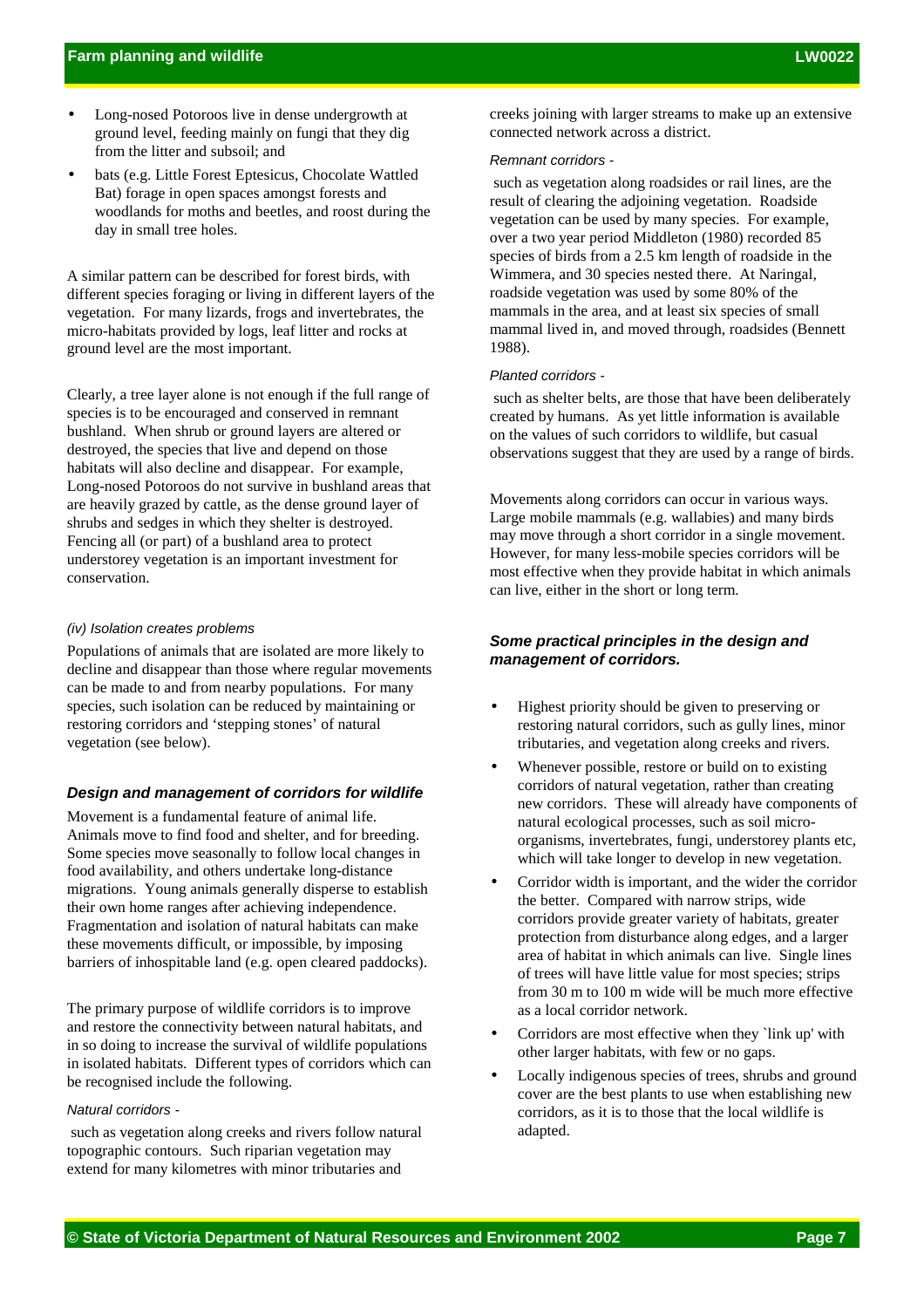- Long-nosed Potoroos live in dense undergrowth at ground level, feeding mainly on fungi that they dig from the litter and subsoil; and
- bats (e.g. Little Forest Eptesicus, Chocolate Wattled Bat) forage in open spaces amongst forests and woodlands for moths and beetles, and roost during the day in small tree holes.

A similar pattern can be described for forest birds, with different species foraging or living in different layers of the vegetation. For many lizards, frogs and invertebrates, the micro-habitats provided by logs, leaf litter and rocks at ground level are the most important.

Clearly, a tree layer alone is not enough if the full range of species is to be encouraged and conserved in remnant bushland. When shrub or ground layers are altered or destroyed, the species that live and depend on those habitats will also decline and disappear. For example, Long-nosed Potoroos do not survive in bushland areas that are heavily grazed by cattle, as the dense ground layer of shrubs and sedges in which they shelter is destroyed. Fencing all (or part) of a bushland area to protect understorey vegetation is an important investment for conservation.

#### *(iv) Isolation creates problems*

Populations of animals that are isolated are more likely to decline and disappear than those where regular movements can be made to and from nearby populations. For many species, such isolation can be reduced by maintaining or restoring corridors and 'stepping stones' of natural vegetation (see below).

#### *Design and management of corridors for wildlife*

Movement is a fundamental feature of animal life. Animals move to find food and shelter, and for breeding. Some species move seasonally to follow local changes in food availability, and others undertake long-distance migrations. Young animals generally disperse to establish their own home ranges after achieving independence. Fragmentation and isolation of natural habitats can make these movements difficult, or impossible, by imposing barriers of inhospitable land (e.g. open cleared paddocks).

The primary purpose of wildlife corridors is to improve and restore the connectivity between natural habitats, and in so doing to increase the survival of wildlife populations in isolated habitats. Different types of corridors which can be recognised include the following.

#### *Natural corridors -*

 such as vegetation along creeks and rivers follow natural topographic contours. Such riparian vegetation may extend for many kilometres with minor tributaries and

creeks joining with larger streams to make up an extensive connected network across a district.

#### *Remnant corridors -*

 such as vegetation along roadsides or rail lines, are the result of clearing the adjoining vegetation. Roadside vegetation can be used by many species. For example, over a two year period Middleton (1980) recorded 85 species of birds from a 2.5 km length of roadside in the Wimmera, and 30 species nested there. At Naringal, roadside vegetation was used by some 80% of the mammals in the area, and at least six species of small mammal lived in, and moved through, roadsides (Bennett 1988).

#### *Planted corridors -*

 such as shelter belts, are those that have been deliberately created by humans. As yet little information is available on the values of such corridors to wildlife, but casual observations suggest that they are used by a range of birds.

Movements along corridors can occur in various ways. Large mobile mammals (e.g. wallabies) and many birds may move through a short corridor in a single movement. However, for many less-mobile species corridors will be most effective when they provide habitat in which animals can live, either in the short or long term.

# *Some practical principles in the design and management of corridors.*

- Highest priority should be given to preserving or restoring natural corridors, such as gully lines, minor tributaries, and vegetation along creeks and rivers.
- Whenever possible, restore or build on to existing corridors of natural vegetation, rather than creating new corridors. These will already have components of natural ecological processes, such as soil microorganisms, invertebrates, fungi, understorey plants etc, which will take longer to develop in new vegetation.
- Corridor width is important, and the wider the corridor the better. Compared with narrow strips, wide corridors provide greater variety of habitats, greater protection from disturbance along edges, and a larger area of habitat in which animals can live. Single lines of trees will have little value for most species; strips from 30 m to 100 m wide will be much more effective as a local corridor network.
- Corridors are most effective when they `link up' with other larger habitats, with few or no gaps.
- Locally indigenous species of trees, shrubs and ground cover are the best plants to use when establishing new corridors, as it is to those that the local wildlife is adapted.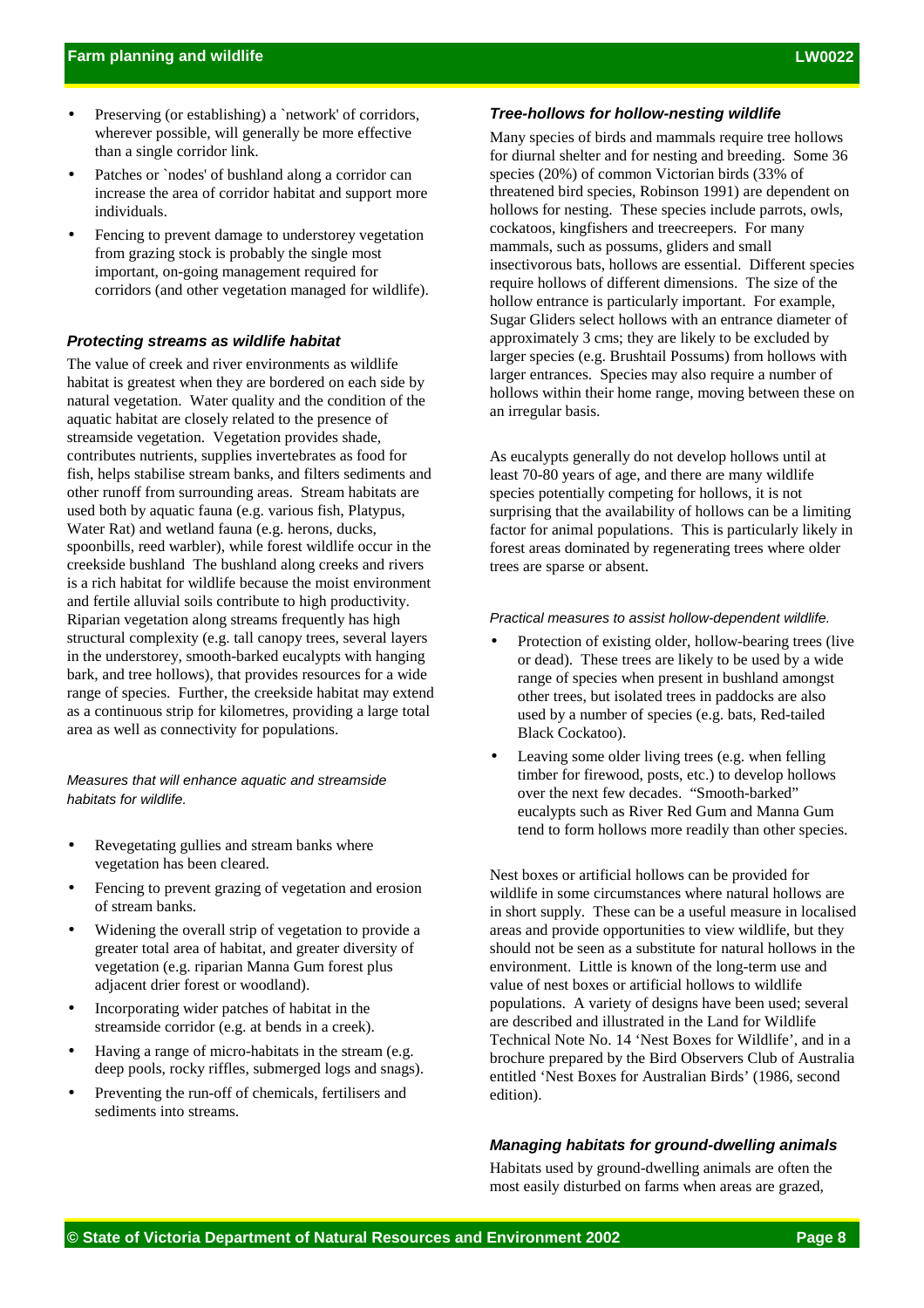- Preserving (or establishing) a `network' of corridors, wherever possible, will generally be more effective than a single corridor link.
- Patches or `nodes' of bushland along a corridor can increase the area of corridor habitat and support more individuals.
- Fencing to prevent damage to understorey vegetation from grazing stock is probably the single most important, on-going management required for corridors (and other vegetation managed for wildlife).

## *Protecting streams as wildlife habitat*

The value of creek and river environments as wildlife habitat is greatest when they are bordered on each side by natural vegetation. Water quality and the condition of the aquatic habitat are closely related to the presence of streamside vegetation. Vegetation provides shade, contributes nutrients, supplies invertebrates as food for fish, helps stabilise stream banks, and filters sediments and other runoff from surrounding areas. Stream habitats are used both by aquatic fauna (e.g. various fish, Platypus, Water Rat) and wetland fauna (e.g. herons, ducks, spoonbills, reed warbler), while forest wildlife occur in the creekside bushland The bushland along creeks and rivers is a rich habitat for wildlife because the moist environment and fertile alluvial soils contribute to high productivity. Riparian vegetation along streams frequently has high structural complexity (e.g. tall canopy trees, several layers in the understorey, smooth-barked eucalypts with hanging bark, and tree hollows), that provides resources for a wide range of species. Further, the creekside habitat may extend as a continuous strip for kilometres, providing a large total area as well as connectivity for populations.

*Measures that will enhance aquatic and streamside habitats for wildlife.*

- Revegetating gullies and stream banks where vegetation has been cleared.
- Fencing to prevent grazing of vegetation and erosion of stream banks.
- Widening the overall strip of vegetation to provide a greater total area of habitat, and greater diversity of vegetation (e.g. riparian Manna Gum forest plus adjacent drier forest or woodland).
- Incorporating wider patches of habitat in the streamside corridor (e.g. at bends in a creek).
- Having a range of micro-habitats in the stream (e.g. deep pools, rocky riffles, submerged logs and snags).
- Preventing the run-off of chemicals, fertilisers and sediments into streams.

# *Tree-hollows for hollow-nesting wildlife*

Many species of birds and mammals require tree hollows for diurnal shelter and for nesting and breeding. Some 36 species (20%) of common Victorian birds (33% of threatened bird species, Robinson 1991) are dependent on hollows for nesting. These species include parrots, owls, cockatoos, kingfishers and treecreepers. For many mammals, such as possums, gliders and small insectivorous bats, hollows are essential. Different species require hollows of different dimensions. The size of the hollow entrance is particularly important. For example, Sugar Gliders select hollows with an entrance diameter of approximately 3 cms; they are likely to be excluded by larger species (e.g. Brushtail Possums) from hollows with larger entrances. Species may also require a number of hollows within their home range, moving between these on an irregular basis.

As eucalypts generally do not develop hollows until at least 70-80 years of age, and there are many wildlife species potentially competing for hollows, it is not surprising that the availability of hollows can be a limiting factor for animal populations. This is particularly likely in forest areas dominated by regenerating trees where older trees are sparse or absent.

#### *Practical measures to assist hollow-dependent wildlife.*

- Protection of existing older, hollow-bearing trees (live or dead). These trees are likely to be used by a wide range of species when present in bushland amongst other trees, but isolated trees in paddocks are also used by a number of species (e.g. bats, Red-tailed Black Cockatoo).
- Leaving some older living trees (e.g. when felling timber for firewood, posts, etc.) to develop hollows over the next few decades. "Smooth-barked" eucalypts such as River Red Gum and Manna Gum tend to form hollows more readily than other species.

Nest boxes or artificial hollows can be provided for wildlife in some circumstances where natural hollows are in short supply. These can be a useful measure in localised areas and provide opportunities to view wildlife, but they should not be seen as a substitute for natural hollows in the environment. Little is known of the long-term use and value of nest boxes or artificial hollows to wildlife populations. A variety of designs have been used; several are described and illustrated in the Land for Wildlife Technical Note No. 14 'Nest Boxes for Wildlife', and in a brochure prepared by the Bird Observers Club of Australia entitled 'Nest Boxes for Australian Birds' (1986, second edition).

# *Managing habitats for ground-dwelling animals*

Habitats used by ground-dwelling animals are often the most easily disturbed on farms when areas are grazed,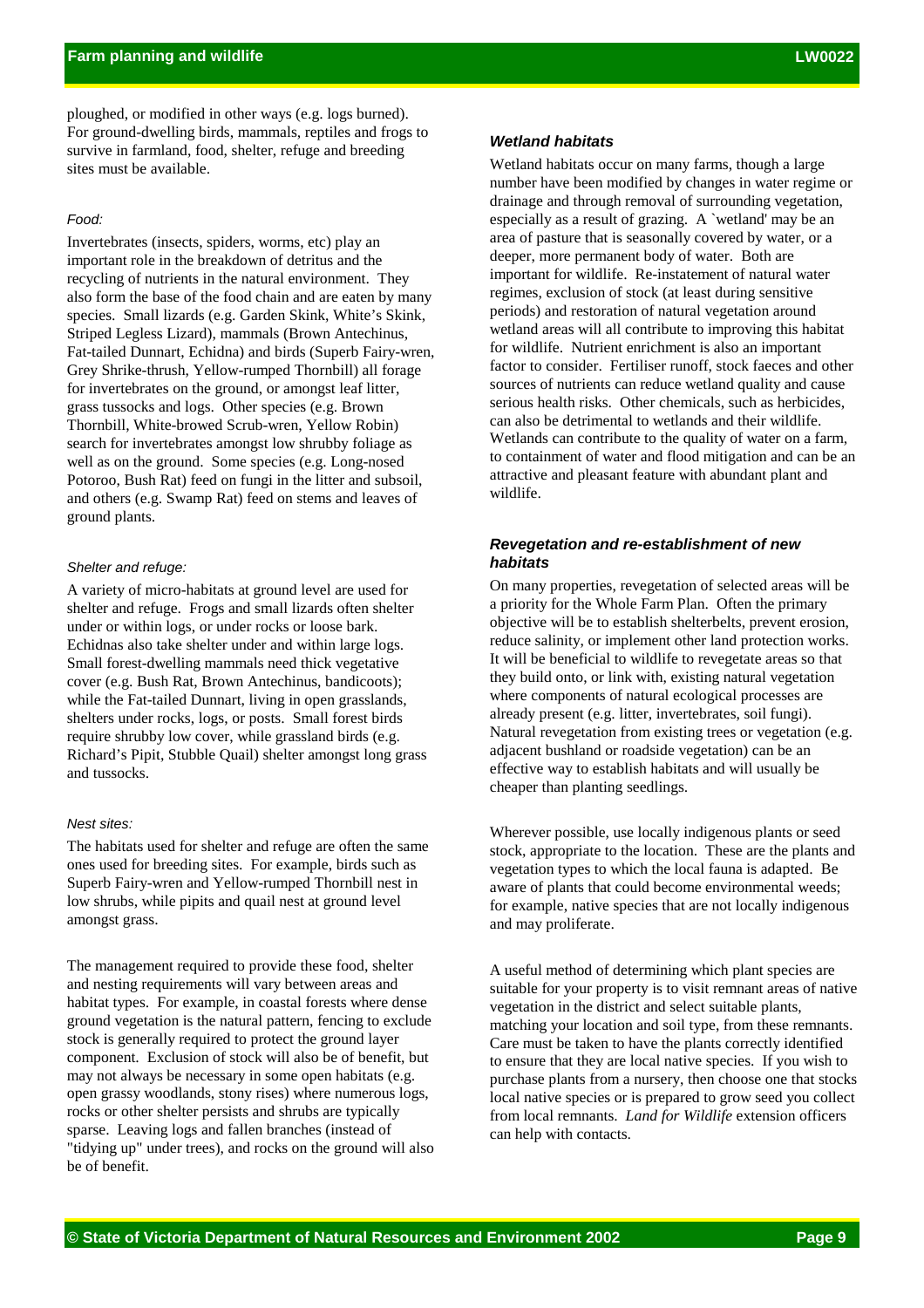ploughed, or modified in other ways (e.g. logs burned). For ground-dwelling birds, mammals, reptiles and frogs to survive in farmland, food, shelter, refuge and breeding sites must be available.

# *Food:*

Invertebrates (insects, spiders, worms, etc) play an important role in the breakdown of detritus and the recycling of nutrients in the natural environment. They also form the base of the food chain and are eaten by many species. Small lizards (e.g. Garden Skink, White's Skink, Striped Legless Lizard), mammals (Brown Antechinus, Fat-tailed Dunnart, Echidna) and birds (Superb Fairy-wren, Grey Shrike-thrush, Yellow-rumped Thornbill) all forage for invertebrates on the ground, or amongst leaf litter, grass tussocks and logs. Other species (e.g. Brown Thornbill, White-browed Scrub-wren, Yellow Robin) search for invertebrates amongst low shrubby foliage as well as on the ground. Some species (e.g. Long-nosed Potoroo, Bush Rat) feed on fungi in the litter and subsoil, and others (e.g. Swamp Rat) feed on stems and leaves of ground plants.

#### *Shelter and refuge:*

A variety of micro-habitats at ground level are used for shelter and refuge. Frogs and small lizards often shelter under or within logs, or under rocks or loose bark. Echidnas also take shelter under and within large logs. Small forest-dwelling mammals need thick vegetative cover (e.g. Bush Rat, Brown Antechinus, bandicoots); while the Fat-tailed Dunnart, living in open grasslands, shelters under rocks, logs, or posts. Small forest birds require shrubby low cover, while grassland birds (e.g. Richard's Pipit, Stubble Quail) shelter amongst long grass and tussocks.

#### *Nest sites:*

The habitats used for shelter and refuge are often the same ones used for breeding sites. For example, birds such as Superb Fairy-wren and Yellow-rumped Thornbill nest in low shrubs, while pipits and quail nest at ground level amongst grass.

The management required to provide these food, shelter and nesting requirements will vary between areas and habitat types. For example, in coastal forests where dense ground vegetation is the natural pattern, fencing to exclude stock is generally required to protect the ground layer component. Exclusion of stock will also be of benefit, but may not always be necessary in some open habitats (e.g. open grassy woodlands, stony rises) where numerous logs, rocks or other shelter persists and shrubs are typically sparse. Leaving logs and fallen branches (instead of "tidying up" under trees), and rocks on the ground will also be of benefit.

#### *Wetland habitats*

Wetland habitats occur on many farms, though a large number have been modified by changes in water regime or drainage and through removal of surrounding vegetation, especially as a result of grazing. A `wetland' may be an area of pasture that is seasonally covered by water, or a deeper, more permanent body of water. Both are important for wildlife. Re-instatement of natural water regimes, exclusion of stock (at least during sensitive periods) and restoration of natural vegetation around wetland areas will all contribute to improving this habitat for wildlife. Nutrient enrichment is also an important factor to consider. Fertiliser runoff, stock faeces and other sources of nutrients can reduce wetland quality and cause serious health risks. Other chemicals, such as herbicides, can also be detrimental to wetlands and their wildlife. Wetlands can contribute to the quality of water on a farm, to containment of water and flood mitigation and can be an attractive and pleasant feature with abundant plant and wildlife.

## *Revegetation and re-establishment of new habitats*

On many properties, revegetation of selected areas will be a priority for the Whole Farm Plan. Often the primary objective will be to establish shelterbelts, prevent erosion, reduce salinity, or implement other land protection works. It will be beneficial to wildlife to revegetate areas so that they build onto, or link with, existing natural vegetation where components of natural ecological processes are already present (e.g. litter, invertebrates, soil fungi). Natural revegetation from existing trees or vegetation (e.g. adjacent bushland or roadside vegetation) can be an effective way to establish habitats and will usually be cheaper than planting seedlings.

Wherever possible, use locally indigenous plants or seed stock, appropriate to the location. These are the plants and vegetation types to which the local fauna is adapted. Be aware of plants that could become environmental weeds; for example, native species that are not locally indigenous and may proliferate.

A useful method of determining which plant species are suitable for your property is to visit remnant areas of native vegetation in the district and select suitable plants, matching your location and soil type, from these remnants. Care must be taken to have the plants correctly identified to ensure that they are local native species. If you wish to purchase plants from a nursery, then choose one that stocks local native species or is prepared to grow seed you collect from local remnants. *Land for Wildlife* extension officers can help with contacts.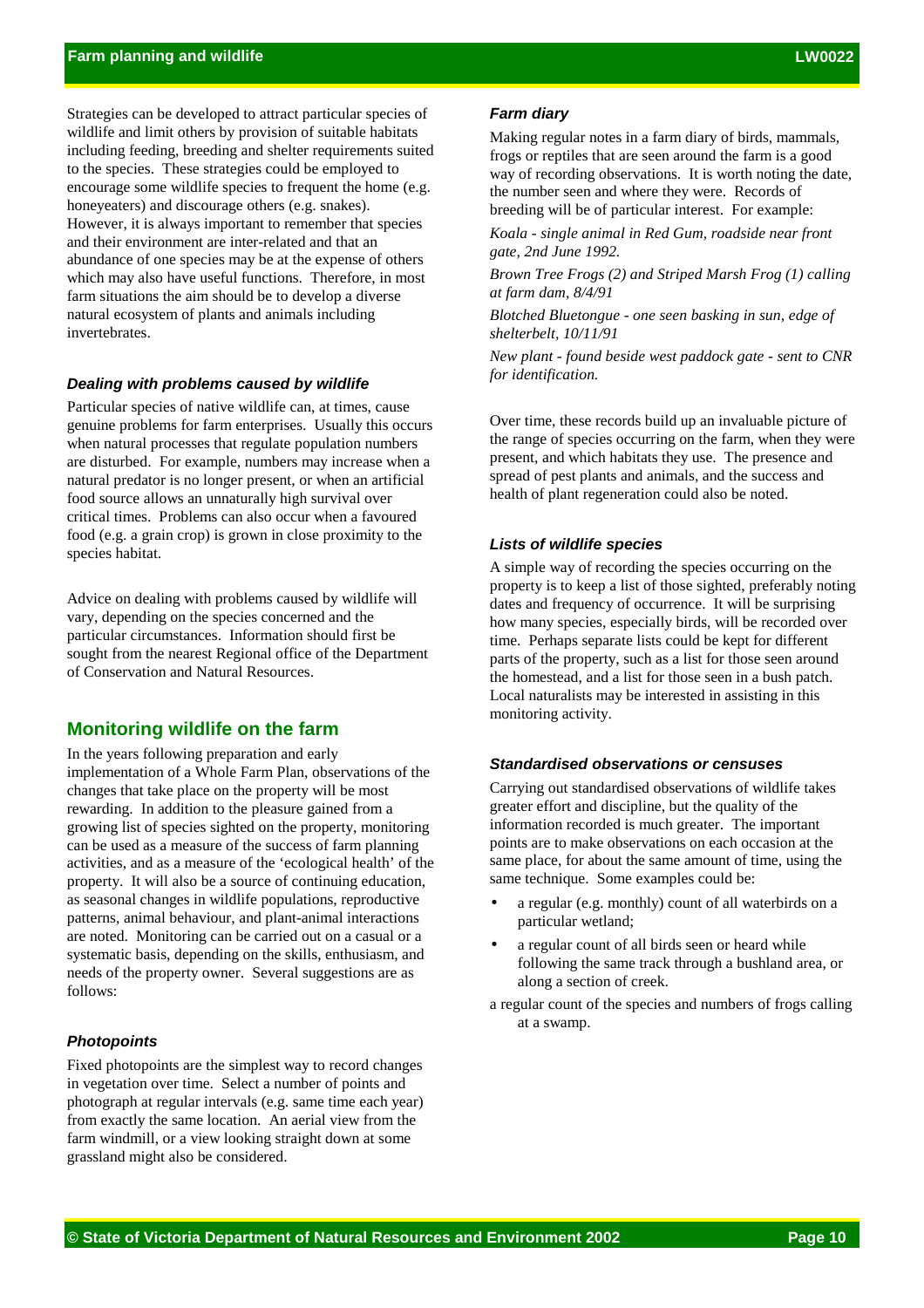Strategies can be developed to attract particular species of wildlife and limit others by provision of suitable habitats including feeding, breeding and shelter requirements suited to the species. These strategies could be employed to encourage some wildlife species to frequent the home (e.g. honeyeaters) and discourage others (e.g. snakes). However, it is always important to remember that species and their environment are inter-related and that an abundance of one species may be at the expense of others which may also have useful functions. Therefore, in most farm situations the aim should be to develop a diverse natural ecosystem of plants and animals including invertebrates.

#### *Dealing with problems caused by wildlife*

Particular species of native wildlife can, at times, cause genuine problems for farm enterprises. Usually this occurs when natural processes that regulate population numbers are disturbed. For example, numbers may increase when a natural predator is no longer present, or when an artificial food source allows an unnaturally high survival over critical times. Problems can also occur when a favoured food (e.g. a grain crop) is grown in close proximity to the species habitat.

Advice on dealing with problems caused by wildlife will vary, depending on the species concerned and the particular circumstances. Information should first be sought from the nearest Regional office of the Department of Conservation and Natural Resources.

# **Monitoring wildlife on the farm**

In the years following preparation and early implementation of a Whole Farm Plan, observations of the changes that take place on the property will be most rewarding. In addition to the pleasure gained from a growing list of species sighted on the property, monitoring can be used as a measure of the success of farm planning activities, and as a measure of the 'ecological health' of the property. It will also be a source of continuing education, as seasonal changes in wildlife populations, reproductive patterns, animal behaviour, and plant-animal interactions are noted. Monitoring can be carried out on a casual or a systematic basis, depending on the skills, enthusiasm, and needs of the property owner. Several suggestions are as follows:

#### *Photopoints*

Fixed photopoints are the simplest way to record changes in vegetation over time. Select a number of points and photograph at regular intervals (e.g. same time each year) from exactly the same location. An aerial view from the farm windmill, or a view looking straight down at some grassland might also be considered.

## *Farm diary*

Making regular notes in a farm diary of birds, mammals, frogs or reptiles that are seen around the farm is a good way of recording observations. It is worth noting the date, the number seen and where they were. Records of breeding will be of particular interest. For example:

*Koala - single animal in Red Gum, roadside near front gate, 2nd June 1992.*

*Brown Tree Frogs (2) and Striped Marsh Frog (1) calling at farm dam, 8/4/91*

*Blotched Bluetongue - one seen basking in sun, edge of shelterbelt, 10/11/91*

*New plant - found beside west paddock gate - sent to CNR for identification.*

Over time, these records build up an invaluable picture of the range of species occurring on the farm, when they were present, and which habitats they use. The presence and spread of pest plants and animals, and the success and health of plant regeneration could also be noted.

#### *Lists of wildlife species*

A simple way of recording the species occurring on the property is to keep a list of those sighted, preferably noting dates and frequency of occurrence. It will be surprising how many species, especially birds, will be recorded over time. Perhaps separate lists could be kept for different parts of the property, such as a list for those seen around the homestead, and a list for those seen in a bush patch. Local naturalists may be interested in assisting in this monitoring activity.

## *Standardised observations or censuses*

Carrying out standardised observations of wildlife takes greater effort and discipline, but the quality of the information recorded is much greater. The important points are to make observations on each occasion at the same place, for about the same amount of time, using the same technique. Some examples could be:

- a regular (e.g. monthly) count of all waterbirds on a particular wetland;
- a regular count of all birds seen or heard while following the same track through a bushland area, or along a section of creek.
- a regular count of the species and numbers of frogs calling at a swamp.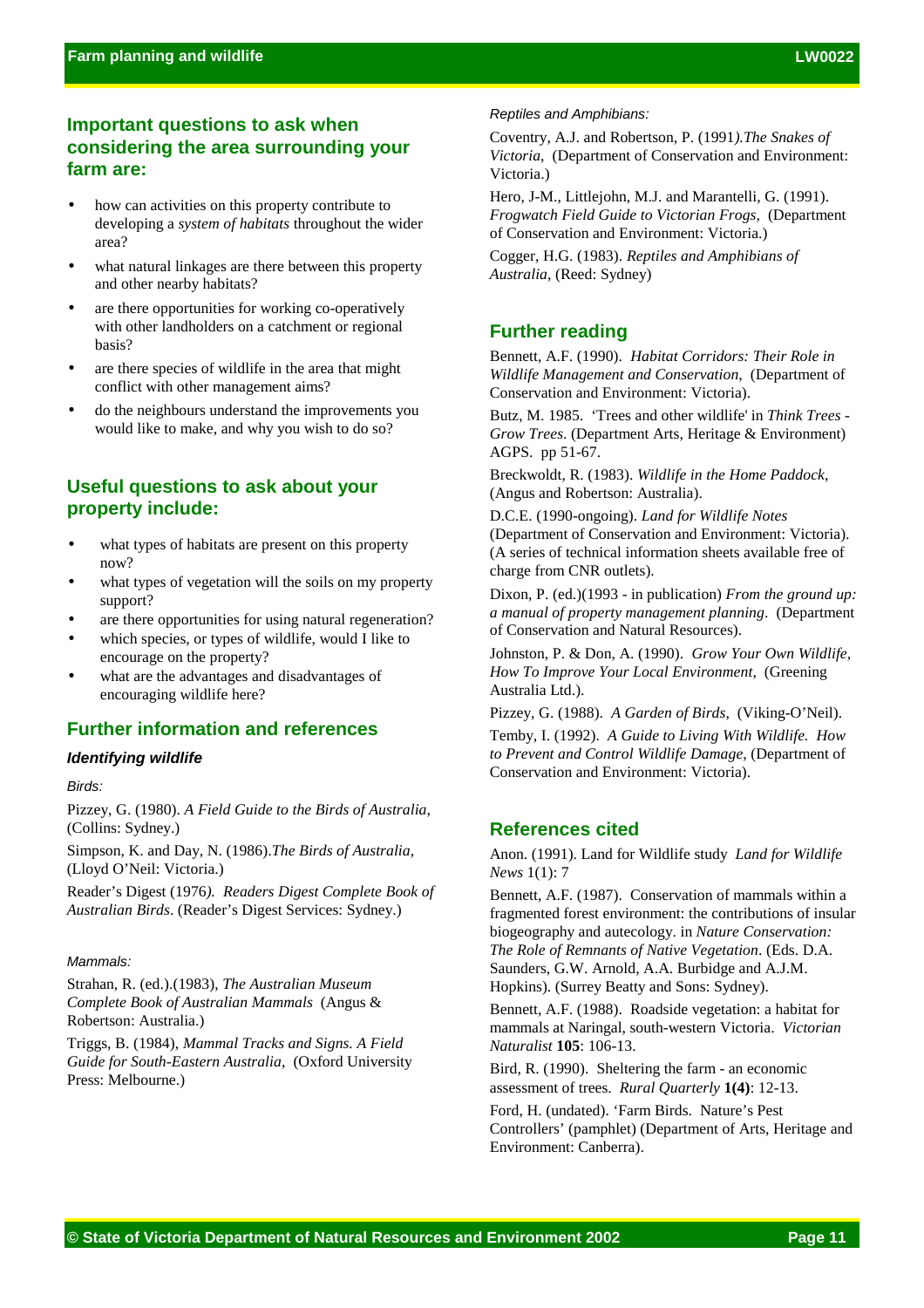# **Important questions to ask when considering the area surrounding your farm are:**

- how can activities on this property contribute to developing a *system of habitats* throughout the wider area?
- what natural linkages are there between this property and other nearby habitats?
- are there opportunities for working co-operatively with other landholders on a catchment or regional basis?
- are there species of wildlife in the area that might conflict with other management aims?
- do the neighbours understand the improvements you would like to make, and why you wish to do so?

# **Useful questions to ask about your property include:**

- what types of habitats are present on this property now?
- what types of vegetation will the soils on my property support?
- are there opportunities for using natural regeneration?
- which species, or types of wildlife, would I like to encourage on the property?
- what are the advantages and disadvantages of encouraging wildlife here?

# **Further information and references**

# *Identifying wildlife*

#### *Birds:*

Pizzey, G. (1980). *A Field Guide to the Birds of Australia*, (Collins: Sydney.)

Simpson, K. and Day, N. (1986).*The Birds of Australia*, (Lloyd O'Neil: Victoria.)

Reader's Digest (1976*). Readers Digest Complete Book of Australian Birds*. (Reader's Digest Services: Sydney.)

#### *Mammals:*

Strahan, R. (ed.).(1983), *The Australian Museum Complete Book of Australian Mammals* (Angus & Robertson: Australia.)

Triggs, B. (1984), *Mammal Tracks and Signs. A Field Guide for South-Eastern Australia*, (Oxford University Press: Melbourne.)

#### *Reptiles and Amphibians:*

Coventry, A.J. and Robertson, P. (1991*).The Snakes of Victoria*, (Department of Conservation and Environment: Victoria.)

Hero, J-M., Littlejohn, M.J. and Marantelli, G. (1991). *Frogwatch Field Guide to Victorian Frogs,* (Department of Conservation and Environment: Victoria.)

Cogger, H.G. (1983). *Reptiles and Amphibians of Australia*, (Reed: Sydney)

# **Further reading**

Bennett, A.F. (1990). *Habitat Corridors: Their Role in Wildlife Management and Conservation*, (Department of Conservation and Environment: Victoria).

Butz, M. 1985. 'Trees and other wildlife' in *Think Trees - Grow Trees*. (Department Arts, Heritage & Environment) AGPS. pp 51-67.

Breckwoldt, R. (1983). *Wildlife in the Home Paddock*, (Angus and Robertson: Australia).

D.C.E. (1990-ongoing). *Land for Wildlife Notes* (Department of Conservation and Environment: Victoria). (A series of technical information sheets available free of charge from CNR outlets).

Dixon, P. (ed.)(1993 - in publication) *From the ground up: a manual of property management planning*. (Department of Conservation and Natural Resources).

Johnston, P. & Don, A. (1990). *Grow Your Own Wildlife, How To Improve Your Local Environment*, (Greening Australia Ltd.).

Pizzey, G. (1988). *A Garden of Birds*, (Viking-O'Neil).

Temby, I. (1992). *A Guide to Living With Wildlife. How to Prevent and Control Wildlife Damage*, (Department of Conservation and Environment: Victoria).

# **References cited**

Anon. (1991). Land for Wildlife study *Land for Wildlife News* 1(1): 7

Bennett, A.F. (1987). Conservation of mammals within a fragmented forest environment: the contributions of insular biogeography and autecology. in *Nature Conservation: The Role of Remnants of Native Vegetation*. (Eds. D.A. Saunders, G.W. Arnold, A.A. Burbidge and A.J.M. Hopkins). (Surrey Beatty and Sons: Sydney).

Bennett, A.F. (1988). Roadside vegetation: a habitat for mammals at Naringal, south-western Victoria. *Victorian Naturalist* **105**: 106-13.

Bird, R. (1990). Sheltering the farm - an economic assessment of trees. *Rural Quarterly* **1(4)**: 12-13.

Ford, H. (undated). 'Farm Birds. Nature's Pest Controllers' (pamphlet) (Department of Arts, Heritage and Environment: Canberra).